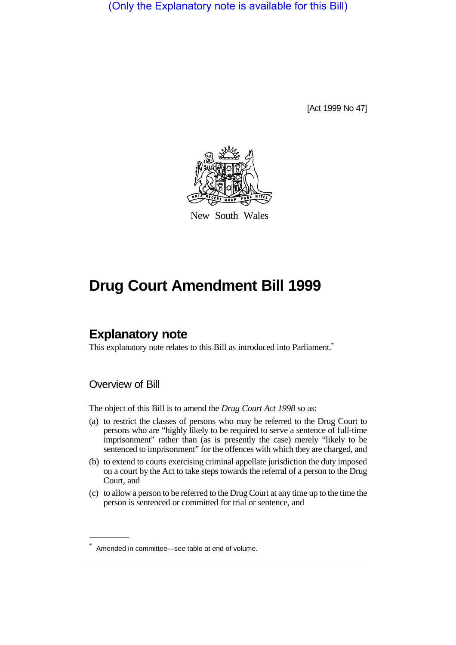(Only the Explanatory note is available for this Bill)

[Act 1999 No 47]



New South Wales

# **Drug Court Amendment Bill 1999**

# **Explanatory note**

This explanatory note relates to this Bill as introduced into Parliament.<sup>\*</sup>

### Overview of Bill

The object of this Bill is to amend the *Drug Court Act 1998* so as:

- (a) to restrict the classes of persons who may be referred to the Drug Court to persons who are "highly likely to be required to serve a sentence of full-time imprisonment" rather than (as is presently the case) merely "likely to be sentenced to imprisonment" for the offences with which they are charged, and
- (b) to extend to courts exercising criminal appellate jurisdiction the duty imposed on a court by the Act to take steps towards the referral of a person to the Drug Court, and
- (c) to allow a person to be referred to the Drug Court at any time up to the time the person is sentenced or committed for trial or sentence, and

<sup>\*</sup> Amended in committee—see table at end of volume.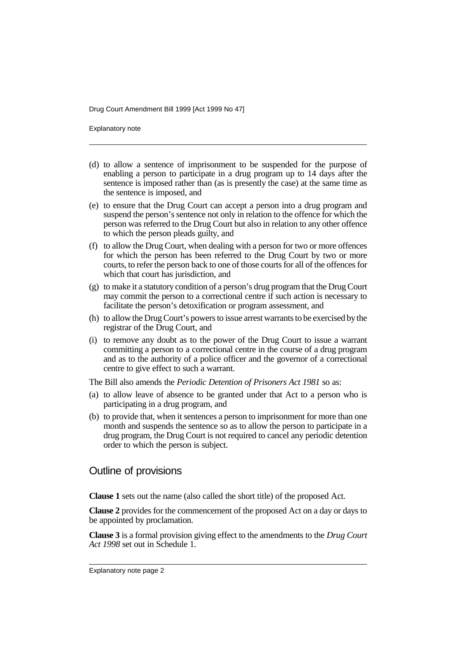Explanatory note

- (d) to allow a sentence of imprisonment to be suspended for the purpose of enabling a person to participate in a drug program up to 14 days after the sentence is imposed rather than (as is presently the case) at the same time as the sentence is imposed, and
- (e) to ensure that the Drug Court can accept a person into a drug program and suspend the person's sentence not only in relation to the offence for which the person was referred to the Drug Court but also in relation to any other offence to which the person pleads guilty, and
- (f) to allow the Drug Court, when dealing with a person for two or more offences for which the person has been referred to the Drug Court by two or more courts, to refer the person back to one of those courts for all of the offences for which that court has jurisdiction, and
- (g) to make it a statutory condition of a person's drug program that the Drug Court may commit the person to a correctional centre if such action is necessary to facilitate the person's detoxification or program assessment, and
- (h) to allow the Drug Court's powers to issue arrest warrants to be exercised by the registrar of the Drug Court, and
- (i) to remove any doubt as to the power of the Drug Court to issue a warrant committing a person to a correctional centre in the course of a drug program and as to the authority of a police officer and the governor of a correctional centre to give effect to such a warrant.

The Bill also amends the *Periodic Detention of Prisoners Act 1981* so as:

- (a) to allow leave of absence to be granted under that Act to a person who is participating in a drug program, and
- (b) to provide that, when it sentences a person to imprisonment for more than one month and suspends the sentence so as to allow the person to participate in a drug program, the Drug Court is not required to cancel any periodic detention order to which the person is subject.

#### Outline of provisions

**Clause 1** sets out the name (also called the short title) of the proposed Act.

**Clause 2** provides for the commencement of the proposed Act on a day or days to be appointed by proclamation.

**Clause 3** is a formal provision giving effect to the amendments to the *Drug Court Act 1998* set out in Schedule 1.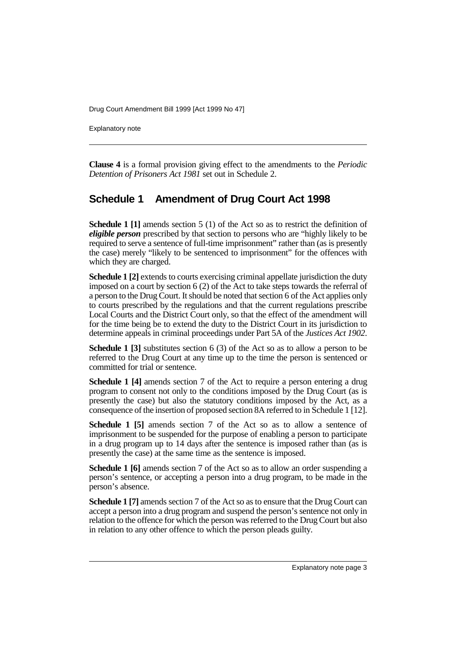Explanatory note

**Clause 4** is a formal provision giving effect to the amendments to the *Periodic Detention of Prisoners Act 1981* set out in Schedule 2.

## **Schedule 1 Amendment of Drug Court Act 1998**

**Schedule 1 [1]** amends section 5 (1) of the Act so as to restrict the definition of *eligible person* prescribed by that section to persons who are "highly likely to be required to serve a sentence of full-time imprisonment" rather than (as is presently the case) merely "likely to be sentenced to imprisonment" for the offences with which they are charged.

**Schedule 1 [2]** extends to courts exercising criminal appellate jurisdiction the duty imposed on a court by section 6 (2) of the Act to take steps towards the referral of a person to the Drug Court. It should be noted that section 6 of the Act applies only to courts prescribed by the regulations and that the current regulations prescribe Local Courts and the District Court only, so that the effect of the amendment will for the time being be to extend the duty to the District Court in its jurisdiction to determine appeals in criminal proceedings under Part 5A of the *Justices Act 1902*.

**Schedule 1 [3]** substitutes section 6 (3) of the Act so as to allow a person to be referred to the Drug Court at any time up to the time the person is sentenced or committed for trial or sentence.

**Schedule 1 [4]** amends section 7 of the Act to require a person entering a drug program to consent not only to the conditions imposed by the Drug Court (as is presently the case) but also the statutory conditions imposed by the Act, as a consequence of the insertion of proposed section 8A referred to in Schedule 1 [12].

**Schedule 1 [5]** amends section 7 of the Act so as to allow a sentence of imprisonment to be suspended for the purpose of enabling a person to participate in a drug program up to 14 days after the sentence is imposed rather than (as is presently the case) at the same time as the sentence is imposed.

**Schedule 1 [6]** amends section 7 of the Act so as to allow an order suspending a person's sentence, or accepting a person into a drug program, to be made in the person's absence.

**Schedule 1 [7]** amends section 7 of the Act so as to ensure that the Drug Court can accept a person into a drug program and suspend the person's sentence not only in relation to the offence for which the person was referred to the Drug Court but also in relation to any other offence to which the person pleads guilty.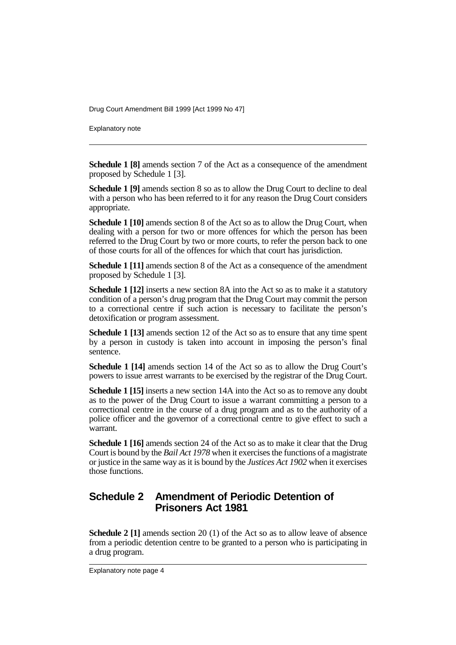Explanatory note

**Schedule 1 [8]** amends section 7 of the Act as a consequence of the amendment proposed by Schedule 1 [3].

**Schedule 1 [9]** amends section 8 so as to allow the Drug Court to decline to deal with a person who has been referred to it for any reason the Drug Court considers appropriate.

**Schedule 1 [10]** amends section 8 of the Act so as to allow the Drug Court, when dealing with a person for two or more offences for which the person has been referred to the Drug Court by two or more courts, to refer the person back to one of those courts for all of the offences for which that court has jurisdiction.

**Schedule 1 [11]** amends section 8 of the Act as a consequence of the amendment proposed by Schedule 1 [3].

**Schedule 1 [12]** inserts a new section 8A into the Act so as to make it a statutory condition of a person's drug program that the Drug Court may commit the person to a correctional centre if such action is necessary to facilitate the person's detoxification or program assessment.

**Schedule 1 [13]** amends section 12 of the Act so as to ensure that any time spent by a person in custody is taken into account in imposing the person's final sentence.

**Schedule 1 [14]** amends section 14 of the Act so as to allow the Drug Court's powers to issue arrest warrants to be exercised by the registrar of the Drug Court.

**Schedule 1 [15]** inserts a new section 14A into the Act so as to remove any doubt as to the power of the Drug Court to issue a warrant committing a person to a correctional centre in the course of a drug program and as to the authority of a police officer and the governor of a correctional centre to give effect to such a warrant.

**Schedule 1 [16]** amends section 24 of the Act so as to make it clear that the Drug Court is bound by the *Bail Act 1978* when it exercises the functions of a magistrate or justice in the same way as it is bound by the *Justices Act 1902* when it exercises those functions.

## **Schedule 2 Amendment of Periodic Detention of Prisoners Act 1981**

**Schedule 2 [1]** amends section 20 (1) of the Act so as to allow leave of absence from a periodic detention centre to be granted to a person who is participating in a drug program.